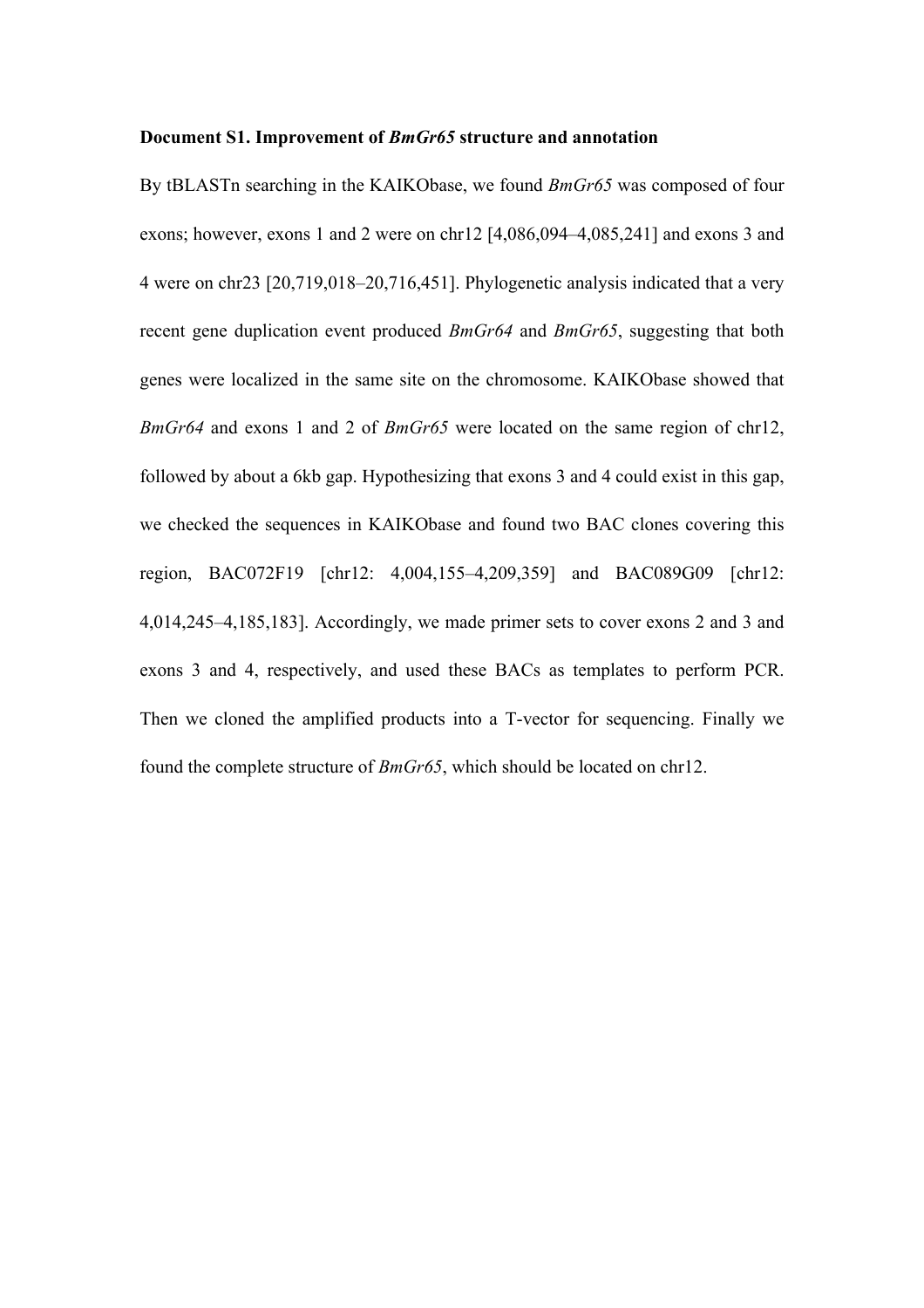## **Document S1. Improvement of** *BmGr65* **structure and annotation**

By tBLASTn searching in the KAIKObase, we found *BmGr65* was composed of four exons; however, exons 1 and 2 were on chr12 [4,086,094–4,085,241] and exons 3 and 4 were on chr23 [20,719,018–20,716,451]. Phylogenetic analysis indicated that a very recent gene duplication event produced *BmGr64* and *BmGr65*, suggesting that both genes were localized in the same site on the chromosome. KAIKObase showed that *BmGr64* and exons 1 and 2 of *BmGr65* were located on the same region of chr12, followed by about a 6kb gap. Hypothesizing that exons 3 and 4 could exist in this gap, we checked the sequences in KAIKObase and found two BAC clones covering this region, BAC072F19 [chr12: 4,004,155–4,209,359] and BAC089G09 [chr12: 4,014,245–4,185,183]. Accordingly, we made primer sets to cover exons 2 and 3 and exons 3 and 4, respectively, and used these BACs as templates to perform PCR. Then we cloned the amplified products into a T-vector for sequencing. Finally we found the complete structure of *BmGr65*, which should be located on chr12.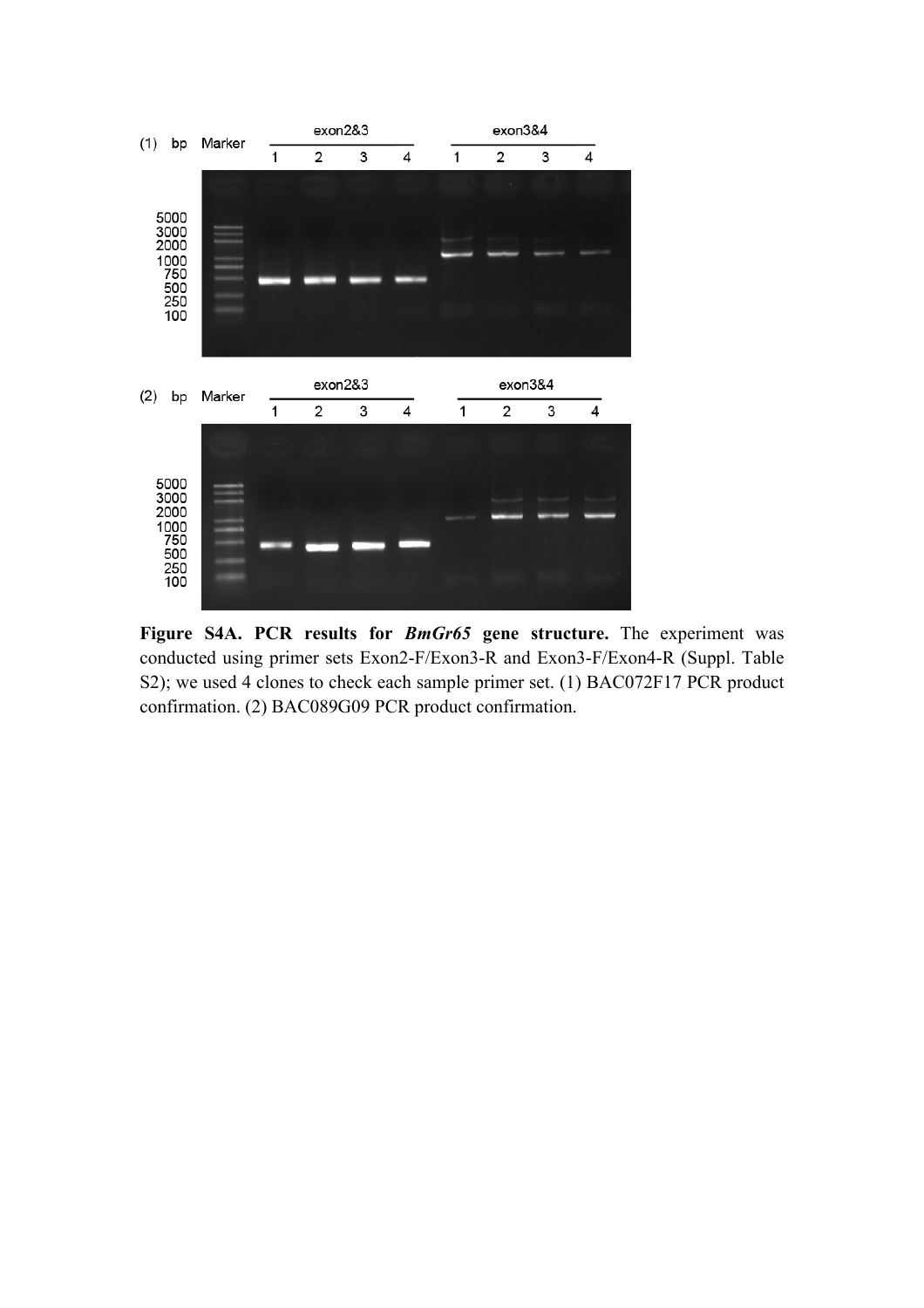

**Figure S4A. PCR results for** *BmGr65* **gene structure.** The experiment was conducted using primer sets Exon2-F/Exon3-R and Exon3-F/Exon4-R (Suppl. Table S2); we used 4 clones to check each sample primer set. (1) BAC072F17 PCR product confirmation. (2) BAC089G09 PCR product confirmation.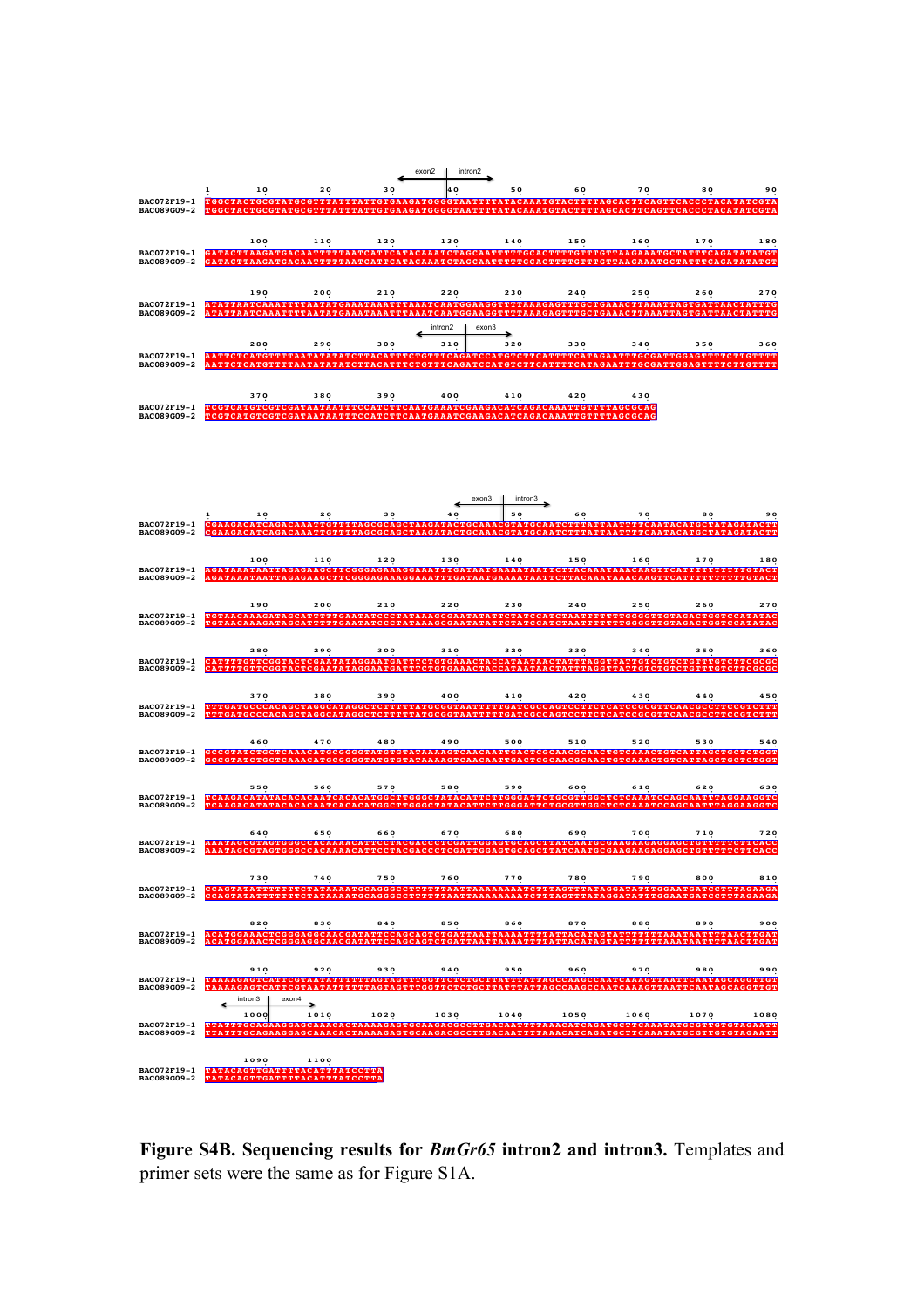



**Figure S4B. Sequencing results for** *BmGr65* **intron2 and intron3.** Templates and primer sets were the same as for Figure S1A.